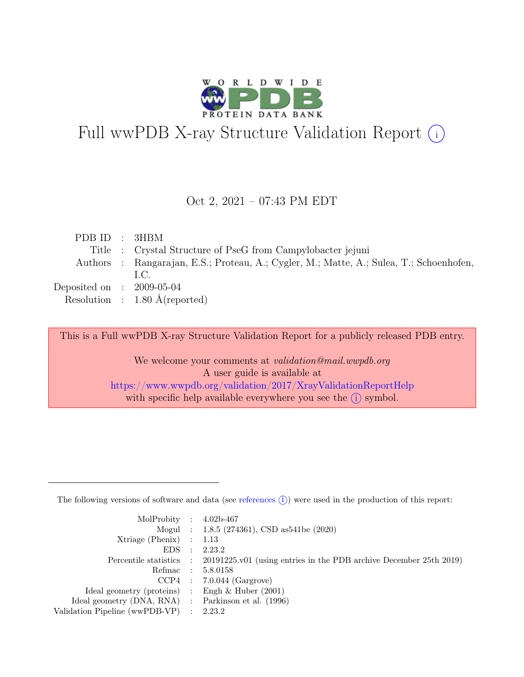

# Full wwPDB X-ray Structure Validation Report  $(i)$

#### Oct 2, 2021 – 07:43 PM EDT

|  | PDB ID : 3HBM                                                                           |
|--|-----------------------------------------------------------------------------------------|
|  | Title : Crystal Structure of PseG from Campylobacter jejuni                             |
|  | Authors : Rangarajan, E.S.; Proteau, A.; Cygler, M.; Matte, A.; Sulea, T.; Schoenhofen, |
|  | LC.                                                                                     |
|  | Deposited on : $2009-05-04$                                                             |
|  | Resolution : $1.80 \text{ Å}$ (reported)                                                |

This is a Full wwPDB X-ray Structure Validation Report for a publicly released PDB entry.

We welcome your comments at validation@mail.wwpdb.org A user guide is available at <https://www.wwpdb.org/validation/2017/XrayValidationReportHelp> with specific help available everywhere you see the  $(i)$  symbol.

The following versions of software and data (see [references](https://www.wwpdb.org/validation/2017/XrayValidationReportHelp#references)  $(i)$ ) were used in the production of this report:

| MolProbity : $4.02b-467$                            |           |                                                                                            |
|-----------------------------------------------------|-----------|--------------------------------------------------------------------------------------------|
|                                                     |           | Mogul : 1.8.5 (274361), CSD as 541be (2020)                                                |
| $Xtriangle (Phenix)$ : 1.13                         |           |                                                                                            |
| EDS                                                 | $\cdot$ : | 2.23.2                                                                                     |
|                                                     |           | Percentile statistics : 20191225.v01 (using entries in the PDB archive December 25th 2019) |
| Refmac : 5.8.0158                                   |           |                                                                                            |
|                                                     |           | $CCP4$ : 7.0.044 (Gargrove)                                                                |
| Ideal geometry (proteins) : Engh $\&$ Huber (2001)  |           |                                                                                            |
| Ideal geometry (DNA, RNA) : Parkinson et al. (1996) |           |                                                                                            |
| Validation Pipeline (wwPDB-VP) : 2.23.2             |           |                                                                                            |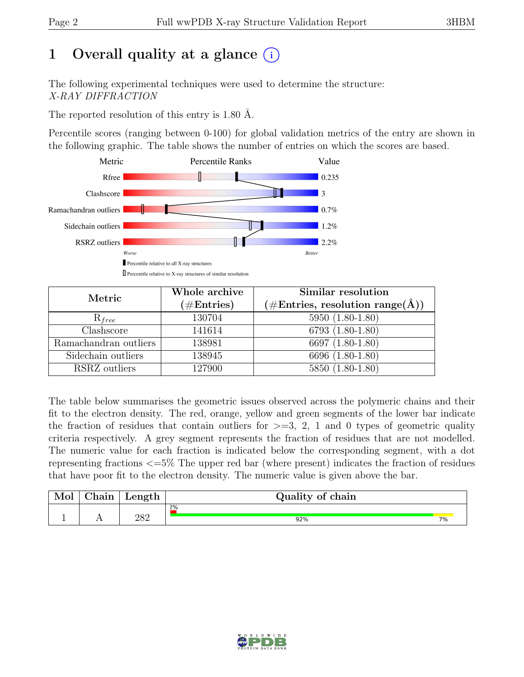# 1 Overall quality at a glance  $(i)$

The following experimental techniques were used to determine the structure: X-RAY DIFFRACTION

The reported resolution of this entry is 1.80 Å.

Percentile scores (ranging between 0-100) for global validation metrics of the entry are shown in the following graphic. The table shows the number of entries on which the scores are based.



| Metric                | Whole archive | Similar resolution                                        |  |  |
|-----------------------|---------------|-----------------------------------------------------------|--|--|
|                       | $(\#Entries)$ | $(\# \text{Entries}, \text{ resolution range}(\text{A}))$ |  |  |
| $R_{free}$            | 130704        | $5950 (1.80 - 1.80)$                                      |  |  |
| Clashscore            | 141614        | 6793 (1.80-1.80)                                          |  |  |
| Ramachandran outliers | 138981        | 6697 (1.80-1.80)                                          |  |  |
| Sidechain outliers    | 138945        | 6696 (1.80-1.80)                                          |  |  |
| RSRZ outliers         | 127900        | 5850 (1.80-1.80)                                          |  |  |

The table below summarises the geometric issues observed across the polymeric chains and their fit to the electron density. The red, orange, yellow and green segments of the lower bar indicate the fraction of residues that contain outliers for  $\geq$ =3, 2, 1 and 0 types of geometric quality criteria respectively. A grey segment represents the fraction of residues that are not modelled. The numeric value for each fraction is indicated below the corresponding segment, with a dot representing fractions <=5% The upper red bar (where present) indicates the fraction of residues that have poor fit to the electron density. The numeric value is given above the bar.

| Mol | $\sim$ $\sim$<br>'hain | Length     | Quality of chain |    |
|-----|------------------------|------------|------------------|----|
|     |                        |            | $2\%$            |    |
|     | <b>A A</b>             | າວາ<br>⊿ഠ∠ | 92%              | 7% |

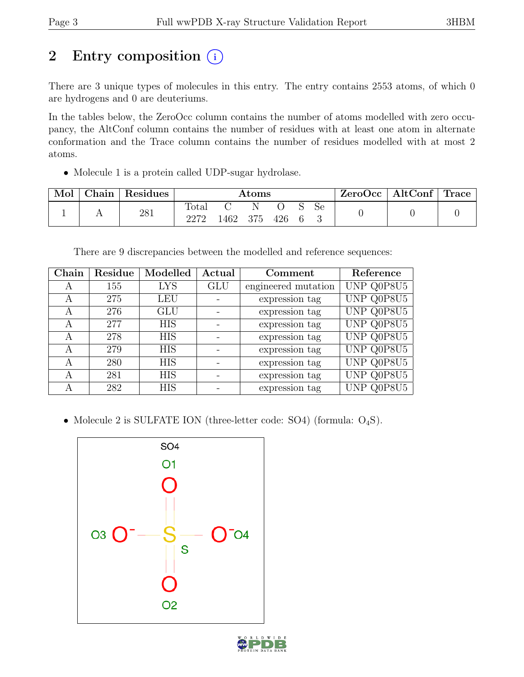# 2 Entry composition  $(i)$

There are 3 unique types of molecules in this entry. The entry contains 2553 atoms, of which 0 are hydrogens and 0 are deuteriums.

In the tables below, the ZeroOcc column contains the number of atoms modelled with zero occupancy, the AltConf column contains the number of residues with at least one atom in alternate conformation and the Trace column contains the number of residues modelled with at most 2 atoms.

• Molecule 1 is a protein called UDP-sugar hydrolase.

| Mol | Chain | Residues | Atoms         |      |       |     |  | ZeroOcc | $\vert$ AltConf $\vert$ Trace $\vert$ |  |  |
|-----|-------|----------|---------------|------|-------|-----|--|---------|---------------------------------------|--|--|
|     |       | 281      | Total<br>วว7ว | 1462 | - 375 | 426 |  | Se      |                                       |  |  |

There are 9 discrepancies between the modelled and reference sequences:

| ${\bf Chain}$ | Residue | Modelled   | Actual     | Comment             | Reference  |
|---------------|---------|------------|------------|---------------------|------------|
| A             | 155     | <b>LYS</b> | <b>GLU</b> | engineered mutation | UNP Q0P8U5 |
| A             | 275     | <b>LEU</b> |            | expression tag      | UNP Q0P8U5 |
| A             | 276     | <b>GLU</b> |            | expression tag      | UNP Q0P8U5 |
| A             | 277     | <b>HIS</b> |            | expression tag      | UNP Q0P8U5 |
| А             | 278     | <b>HIS</b> |            | expression tag      | UNP Q0P8U5 |
| А             | 279     | <b>HIS</b> |            | expression tag      | UNP Q0P8U5 |
| A             | 280     | <b>HIS</b> |            | expression tag      | UNP Q0P8U5 |
| А             | 281     | <b>HIS</b> |            | expression tag      | UNP Q0P8U5 |
|               | 282     | <b>HIS</b> |            | expression tag      | UNP Q0P8U5 |

• Molecule 2 is SULFATE ION (three-letter code: SO4) (formula:  $O_4S$ ).



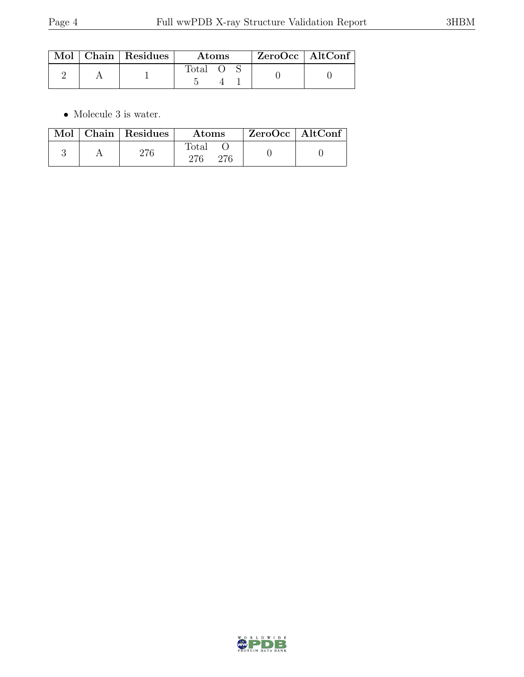|  | $\parallel$ Mol $\parallel$ Chain $\parallel$ Residues $\perp$ | Atoms          |  |  | $ZeroOcc \mid AltConf$ |  |
|--|----------------------------------------------------------------|----------------|--|--|------------------------|--|
|  |                                                                | $\text{Total}$ |  |  |                        |  |

 $\bullet\,$  Molecule 3 is water.

|  | Mol   Chain   Residues | <b>Atoms</b> | $\mid$ ZeroOcc $\mid$ AltConf |  |
|--|------------------------|--------------|-------------------------------|--|
|  |                        | Total<br>276 |                               |  |

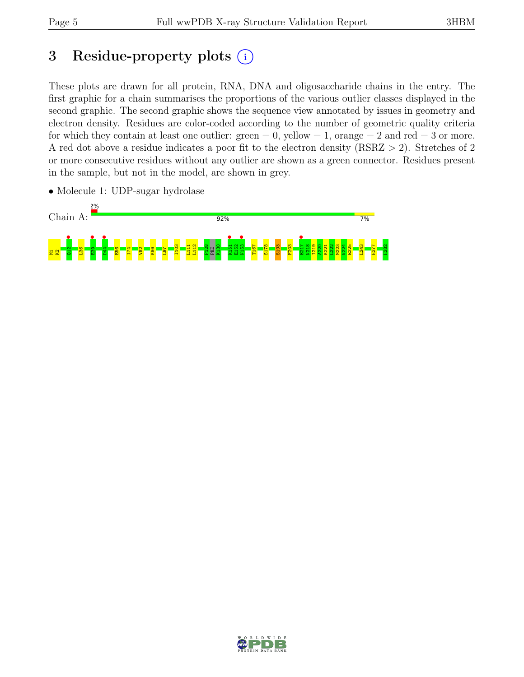# 3 Residue-property plots  $(i)$

These plots are drawn for all protein, RNA, DNA and oligosaccharide chains in the entry. The first graphic for a chain summarises the proportions of the various outlier classes displayed in the second graphic. The second graphic shows the sequence view annotated by issues in geometry and electron density. Residues are color-coded according to the number of geometric quality criteria for which they contain at least one outlier:  $green = 0$ , yellow  $= 1$ , orange  $= 2$  and red  $= 3$  or more. A red dot above a residue indicates a poor fit to the electron density (RSRZ > 2). Stretches of 2 or more consecutive residues without any outlier are shown as a green connector. Residues present in the sample, but not in the model, are shown in grey.

• Molecule 1: UDP-sugar hydrolase



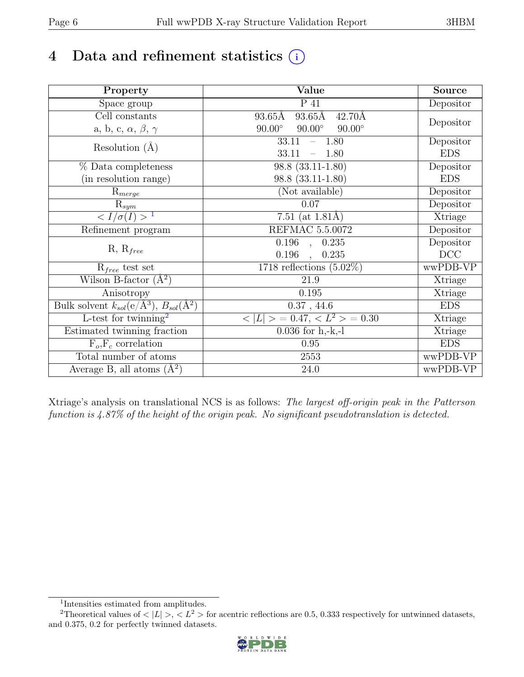# 4 Data and refinement statistics  $(i)$

| Property                                                                          | Value                                                       | Source     |
|-----------------------------------------------------------------------------------|-------------------------------------------------------------|------------|
| Space group                                                                       | $\overline{P}$ 41                                           | Depositor  |
| Cell constants                                                                    | $93.65\text{\AA}$<br>$93.65\text{\AA}$<br>$42.70\text{\AA}$ |            |
| a, b, c, $\alpha$ , $\beta$ , $\gamma$                                            | $90.00^\circ$<br>$90.00^\circ$<br>$90.00^\circ$             | Depositor  |
| Resolution $(A)$                                                                  | $-1.80$<br>33.11                                            | Depositor  |
|                                                                                   | 33.11<br>1.80                                               | <b>EDS</b> |
| % Data completeness                                                               | $\overline{98.8}$ $(33.11 - 1.80)$                          | Depositor  |
| (in resolution range)                                                             | $98.8(33.11-1.80)$                                          | <b>EDS</b> |
| $R_{merge}$                                                                       | (Not available)                                             | Depositor  |
| $\mathrm{R}_{sym}$                                                                | 0.07                                                        | Depositor  |
| $\langle I/\sigma(I) \rangle$ <sup>1</sup>                                        | $\overline{7.51}$ (at 1.81Å)                                | Xtriage    |
| Refinement program                                                                | <b>REFMAC 5.5.0072</b>                                      | Depositor  |
|                                                                                   | $\overline{0.196}$ ,<br>0.235                               | Depositor  |
| $R, R_{free}$                                                                     | 0.196<br>0.235                                              | DCC        |
| $R_{free}$ test set                                                               | 1718 reflections $(5.02\%)$                                 | wwPDB-VP   |
| Wilson B-factor $(A^2)$                                                           | 21.9                                                        | Xtriage    |
| Anisotropy                                                                        | 0.195                                                       | Xtriage    |
| Bulk solvent $k_{sol}(\mathrm{e}/\mathrm{A}^3), \overline{B_{sol}(\mathrm{A}^2)}$ | 0.37, 44.6                                                  | <b>EDS</b> |
| L-test for twinning <sup>2</sup>                                                  | $< L >$ = 0.47, $< L2 >$ = 0.30                             | Xtriage    |
| Estimated twinning fraction                                                       | $0.036$ for h,-k,-l                                         | Xtriage    |
| $F_o, F_c$ correlation                                                            | 0.95                                                        | <b>EDS</b> |
| Total number of atoms                                                             | $2553\,$                                                    | wwPDB-VP   |
| Average B, all atoms $(A^2)$                                                      | 24.0                                                        | wwPDB-VP   |

Xtriage's analysis on translational NCS is as follows: The largest off-origin peak in the Patterson function is 4.87% of the height of the origin peak. No significant pseudotranslation is detected.

<sup>&</sup>lt;sup>2</sup>Theoretical values of  $\langle |L| \rangle$ ,  $\langle L^2 \rangle$  for acentric reflections are 0.5, 0.333 respectively for untwinned datasets, and 0.375, 0.2 for perfectly twinned datasets.



<span id="page-5-1"></span><span id="page-5-0"></span><sup>1</sup> Intensities estimated from amplitudes.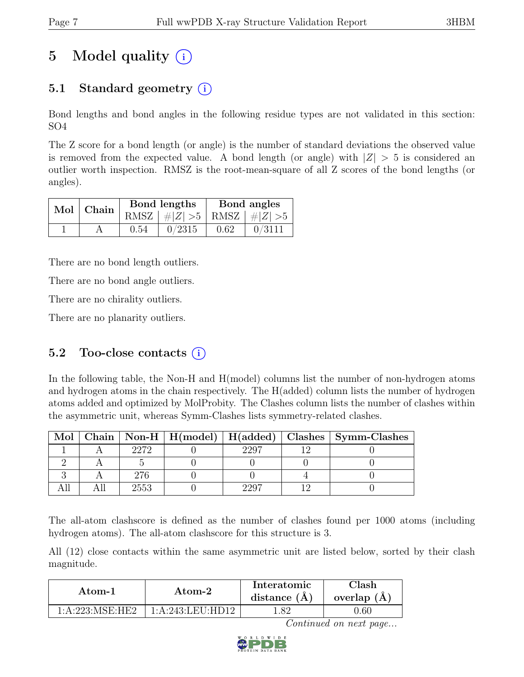# 5 Model quality  $(i)$

# 5.1 Standard geometry  $(i)$

Bond lengths and bond angles in the following residue types are not validated in this section: SO4

The Z score for a bond length (or angle) is the number of standard deviations the observed value is removed from the expected value. A bond length (or angle) with  $|Z| > 5$  is considered an outlier worth inspection. RMSZ is the root-mean-square of all Z scores of the bond lengths (or angles).

|  | $Mol$   Chain |      | Bond lengths                    | Bond angles |        |  |
|--|---------------|------|---------------------------------|-------------|--------|--|
|  |               |      | RMSZ $ #Z  > 5$ RMSZ $ #Z  > 5$ |             |        |  |
|  |               | 0.54 | 0/2315                          | 0.62        | 0/3111 |  |

There are no bond length outliers.

There are no bond angle outliers.

There are no chirality outliers.

There are no planarity outliers.

### 5.2 Too-close contacts  $(i)$

In the following table, the Non-H and H(model) columns list the number of non-hydrogen atoms and hydrogen atoms in the chain respectively. The H(added) column lists the number of hydrogen atoms added and optimized by MolProbity. The Clashes column lists the number of clashes within the asymmetric unit, whereas Symm-Clashes lists symmetry-related clashes.

| Mol |      |      | Chain   Non-H   H(model)   H(added)   Clashes   Symm-Clashes |
|-----|------|------|--------------------------------------------------------------|
|     | 2272 | 2207 |                                                              |
|     |      |      |                                                              |
|     | 276  |      |                                                              |
|     | 2553 |      |                                                              |

The all-atom clashscore is defined as the number of clashes found per 1000 atoms (including hydrogen atoms). The all-atom clashscore for this structure is 3.

All (12) close contacts within the same asymmetric unit are listed below, sorted by their clash magnitude.

| Atom-1          | Atom-2           | Interatomic<br>distance $(A)$ | ${\rm Classh}$<br>overlap $(A)$ |  |
|-----------------|------------------|-------------------------------|---------------------------------|--|
| 1:A:223:MSE:HE2 | 1:A:243:LEU:HD12 | l.82                          | .60                             |  |

Continued on next page...

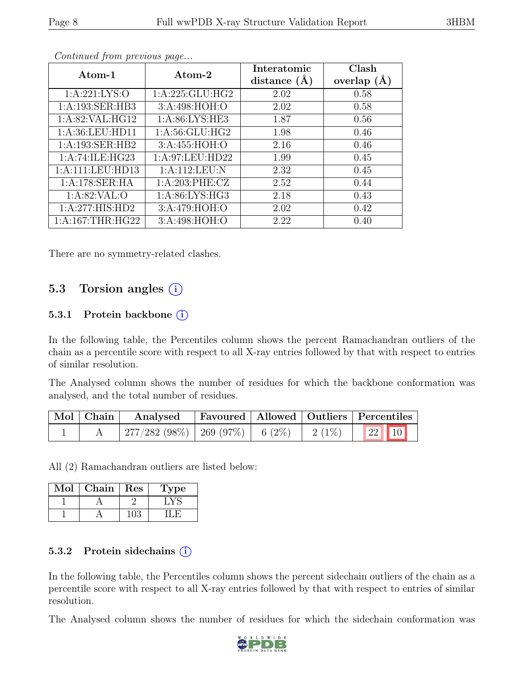| Atom-1            | Atom-2            | Interatomic<br>distance $(A)$ | Clash<br>overlap $(A)$ |
|-------------------|-------------------|-------------------------------|------------------------|
| 1: A:221: LYS:O   | 1: A:225: GLU:HG2 | 2.02                          | 0.58                   |
| 1:A:193:SER:HB3   | 3:A:498:HOH:O     | 2.02                          | 0.58                   |
| 1:A:82:VAL:HG12   | 1: A:86: LYS: HE3 | 1.87                          | 0.56                   |
| 1:A:36:LEU:HD11   | 1: A:56: GLU: HG2 | 1.98                          | 0.46                   |
| 1:A:193:SER:HB2   | 3:A:455:HOH:O     | 2.16                          | 0.46                   |
| 1:A:74:ILE:HG23   | 1:A:97:LEU:HD22   | 1.99                          | 0.45                   |
| 1:A:111:LEU:HD13  | 1:A:112:LEU:N     | 2.32                          | 0.45                   |
| 1:A:178:SER:HA    | 1:A:203:PHE:CZ    | 2.52                          | 0.44                   |
| 1: A:82:VAL:O     | 1: A:86: LYS: HG3 | 2.18                          | 0.43                   |
| 1:A:277:HIS:HD2   | 3:A:479:HOH:O     | 2.02                          | 0.42                   |
| 1: A:167:THR:HG22 | 3:A:498:HOH:O     | 2.22                          | 0.40                   |

Continued from previous page...

There are no symmetry-related clashes.

### 5.3 Torsion angles (i)

#### 5.3.1 Protein backbone  $(i)$

In the following table, the Percentiles column shows the percent Ramachandran outliers of the chain as a percentile score with respect to all X-ray entries followed by that with respect to entries of similar resolution.

The Analysed column shows the number of residues for which the backbone conformation was analysed, and the total number of residues.

| $\vert$ Mol $\vert$ Chain $\vert$ | Analysed                                          |  | Favoured   Allowed   Outliers   Percentiles |  |
|-----------------------------------|---------------------------------------------------|--|---------------------------------------------|--|
|                                   | $277/282$ (98\%)   269 (97\%)   6 (2\%)   2 (1\%) |  | 22 10                                       |  |

All (2) Ramachandran outliers are listed below:

| Mol | Chain | Res | Type |
|-----|-------|-----|------|
|     |       |     |      |
|     |       |     |      |

#### 5.3.2 Protein sidechains  $(i)$

In the following table, the Percentiles column shows the percent sidechain outliers of the chain as a percentile score with respect to all X-ray entries followed by that with respect to entries of similar resolution.

The Analysed column shows the number of residues for which the sidechain conformation was

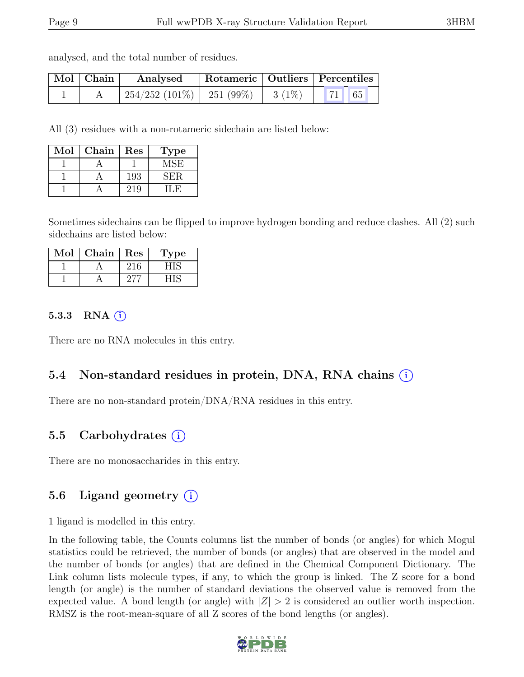analysed, and the total number of residues.

| Mol   Chain | Analysed                                 |  | Rotameric   Outliers   Percentiles                                                                        |  |
|-------------|------------------------------------------|--|-----------------------------------------------------------------------------------------------------------|--|
|             | $254/252$ (101\%)   251 (99\%)   3 (1\%) |  | $\begin{array}{ c c c c c c } \hline \end{array}$ 71 65 $\begin{array}{ c c c c c c } \hline \end{array}$ |  |

All (3) residues with a non-rotameric sidechain are listed below:

| Mol | Chain | Res | Type |
|-----|-------|-----|------|
|     |       |     | MSE  |
|     |       | 193 | SER. |
|     |       | 219 |      |

Sometimes sidechains can be flipped to improve hydrogen bonding and reduce clashes. All (2) such sidechains are listed below:

| Mol | Chain | Res | ype |
|-----|-------|-----|-----|
|     |       |     |     |
|     |       |     |     |

#### 5.3.3 RNA  $(i)$

There are no RNA molecules in this entry.

### 5.4 Non-standard residues in protein, DNA, RNA chains (i)

There are no non-standard protein/DNA/RNA residues in this entry.

### 5.5 Carbohydrates (i)

There are no monosaccharides in this entry.

## 5.6 Ligand geometry  $(i)$

1 ligand is modelled in this entry.

In the following table, the Counts columns list the number of bonds (or angles) for which Mogul statistics could be retrieved, the number of bonds (or angles) that are observed in the model and the number of bonds (or angles) that are defined in the Chemical Component Dictionary. The Link column lists molecule types, if any, to which the group is linked. The Z score for a bond length (or angle) is the number of standard deviations the observed value is removed from the expected value. A bond length (or angle) with  $|Z| > 2$  is considered an outlier worth inspection. RMSZ is the root-mean-square of all Z scores of the bond lengths (or angles).

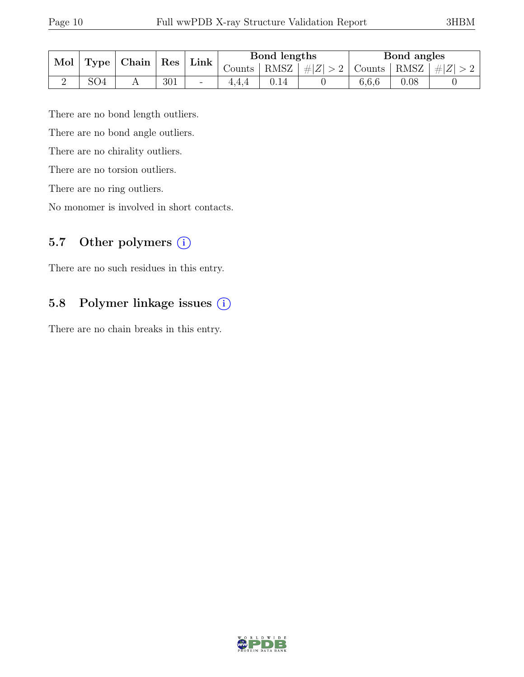| Mol<br>Chain<br>Type |     |  | $\operatorname{Res}$ | Link                     | Bond lengths        |      |         | Bond angles |      |         |
|----------------------|-----|--|----------------------|--------------------------|---------------------|------|---------|-------------|------|---------|
|                      |     |  |                      |                          | Counts <sup>1</sup> | RMSZ | $\# Z $ | Counts      | RMSZ | $\# Z $ |
| ↵                    | SO4 |  | 301                  | $\overline{\phantom{a}}$ |                     |      |         | 6,6,6       | 0.08 |         |

There are no bond length outliers.

There are no bond angle outliers.

There are no chirality outliers.

There are no torsion outliers.

There are no ring outliers.

No monomer is involved in short contacts.

### 5.7 Other polymers (i)

There are no such residues in this entry.

## 5.8 Polymer linkage issues (i)

There are no chain breaks in this entry.

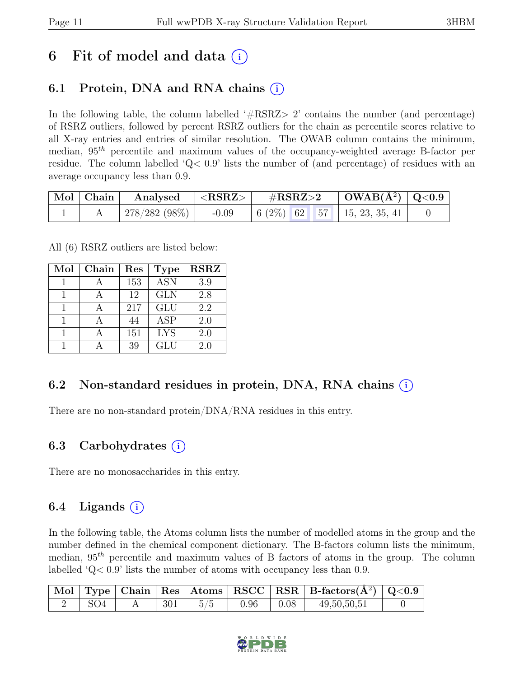# 6 Fit of model and data  $(i)$

# 6.1 Protein, DNA and RNA chains  $(i)$

In the following table, the column labelled  $#RSRZ>2$  contains the number (and percentage) of RSRZ outliers, followed by percent RSRZ outliers for the chain as percentile scores relative to all X-ray entries and entries of similar resolution. The OWAB column contains the minimum, median,  $95<sup>th</sup>$  percentile and maximum values of the occupancy-weighted average B-factor per residue. The column labelled 'Q< 0.9' lists the number of (and percentage) of residues with an average occupancy less than 0.9.

|  | $\begin{array}{ c c c c }\hline \text{Mol} & \text{Chain} & \text{Analysed} & <\text{RSRZ}> \hline \end{array}$ | $\mathrm{\#RSRZ{>}2}$ |  | $\begin{array}{c c c c} \hline \text{OWAB}(\text{A}^2) & \text{Q} < 0.9 \end{array}$              |  |
|--|-----------------------------------------------------------------------------------------------------------------|-----------------------|--|---------------------------------------------------------------------------------------------------|--|
|  | $\mid 278/282$ $(98\%) \mid -0.09$                                                                              |                       |  | $\begin{array}{ c c c c c c c c } \hline 6 & (2\%) & 62 & 57 & 15, 23, 35, 41 \hline \end{array}$ |  |

All (6) RSRZ outliers are listed below:

| Mol | Chain | Res | <b>Type</b> | <b>RSRZ</b> |
|-----|-------|-----|-------------|-------------|
|     |       | 153 | <b>ASN</b>  | 3.9         |
|     |       | 12  | <b>GLN</b>  | 2.8         |
|     |       | 217 | <b>GLU</b>  | 2.2         |
| 1   |       | 44  | <b>ASP</b>  | 2.0         |
|     |       | 151 | <b>LYS</b>  | 2.0         |
|     |       | 39  | GLU         | 2.0         |

## 6.2 Non-standard residues in protein, DNA, RNA chains (i)

There are no non-standard protein/DNA/RNA residues in this entry.

### 6.3 Carbohydrates  $(i)$

There are no monosaccharides in this entry.

### 6.4 Ligands  $(i)$

In the following table, the Atoms column lists the number of modelled atoms in the group and the number defined in the chemical component dictionary. The B-factors column lists the minimum, median,  $95<sup>th</sup>$  percentile and maximum values of B factors of atoms in the group. The column labelled 'Q< 0.9' lists the number of atoms with occupancy less than 0.9.

|                 |     |     |                                                                        | $\vert$ Mol $\vert$ Type $\vert$ Chain $\vert$ Res $\vert$ Atoms $\vert$ RSCC $\vert$ RSR $\vert$ B-factors(A <sup>2</sup> ) $\vert$ Q<0.9 |  |
|-----------------|-----|-----|------------------------------------------------------------------------|--------------------------------------------------------------------------------------------------------------------------------------------|--|
| SO <sub>4</sub> | 301 | 5/5 | $\begin{array}{ c c c c c c } \hline 0.96 & 0.08 \\\hline \end{array}$ | 49,50,50,51                                                                                                                                |  |